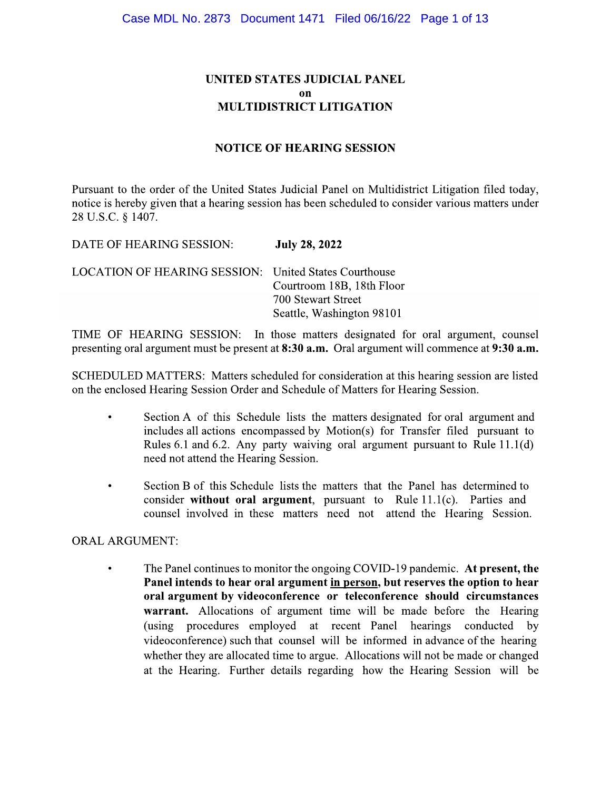## UNITED STATES JUDICIAL PANEL **nn MULTIDISTRICT LITIGATION**

#### **NOTICE OF HEARING SESSION**

Pursuant to the order of the United States Judicial Panel on Multidistrict Litigation filed today, notice is hereby given that a hearing session has been scheduled to consider various matters under 28 U.S.C. § 1407.

DATE OF HEARING SESSION: **July 28, 2022** 

**LOCATION OF HEARING SESSION:** United States Courthouse Courtroom 18B, 18th Floor 700 Stewart Street Seattle, Washington 98101

TIME OF HEARING SESSION: In those matters designated for oral argument, counsel presenting oral argument must be present at 8:30 a.m. Oral argument will commence at 9:30 a.m.

SCHEDULED MATTERS: Matters scheduled for consideration at this hearing session are listed on the enclosed Hearing Session Order and Schedule of Matters for Hearing Session.

- Section A of this Schedule lists the matters designated for oral argument and  $\bullet$ includes all actions encompassed by Motion(s) for Transfer filed pursuant to Rules 6.1 and 6.2. Any party waiving oral argument pursuant to Rule  $11.1(d)$ need not attend the Hearing Session.
- Section B of this Schedule lists the matters that the Panel has determined to consider without oral argument, pursuant to Rule  $11.1(c)$ . Parties and counsel involved in these matters need not attend the Hearing Session.

#### **ORAL ARGUMENT:**

The Panel continues to monitor the ongoing COVID-19 pandemic. At present, the  $\bullet$ Panel intends to hear oral argument in person, but reserves the option to hear oral argument by videoconference or teleconference should circumstances warrant. Allocations of argument time will be made before the Hearing (using procedures employed at recent Panel hearings conducted by videoconference) such that counsel will be informed in advance of the hearing whether they are allocated time to argue. Allocations will not be made or changed at the Hearing. Further details regarding how the Hearing Session will be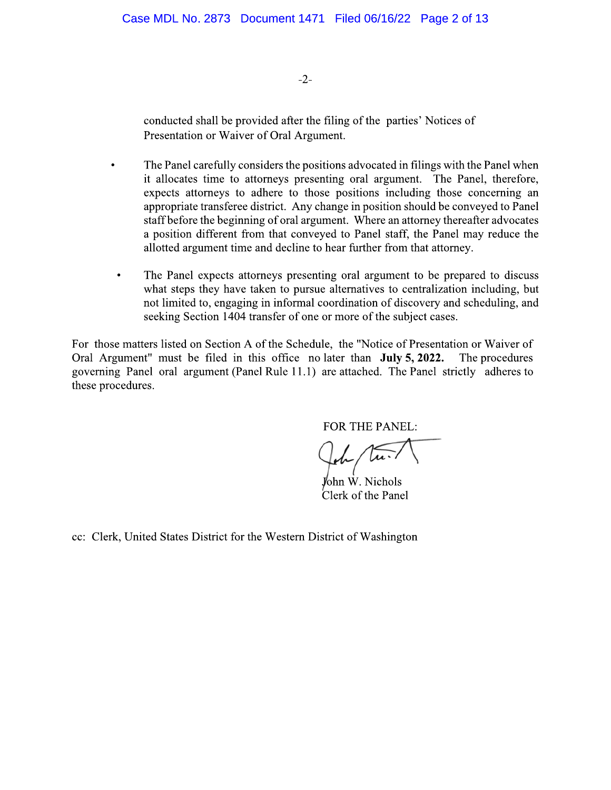$-2-$ 

conducted shall be provided after the filing of the parties' Notices of Presentation or Waiver of Oral Argument.

- The Panel carefully considers the positions advocated in filings with the Panel when it allocates time to attorneys presenting oral argument. The Panel, therefore, expects attorneys to adhere to those positions including those concerning an appropriate transferee district. Any change in position should be conveyed to Panel staff before the beginning of oral argument. Where an attorney thereafter advocates a position different from that conveyed to Panel staff, the Panel may reduce the allotted argument time and decline to hear further from that attorney.
- The Panel expects attorneys presenting oral argument to be prepared to discuss  $\bullet$ what steps they have taken to pursue alternatives to centralization including, but not limited to, engaging in informal coordination of discovery and scheduling, and seeking Section 1404 transfer of one or more of the subject cases.

For those matters listed on Section A of the Schedule, the "Notice of Presentation or Waiver of Oral Argument" must be filed in this office no later than **July 5, 2022.** The procedures governing Panel oral argument (Panel Rule 11.1) are attached. The Panel strictly adheres to these procedures.

FOR THE PANEL:

John W. Nichols Clerk of the Panel

cc: Clerk, United States District for the Western District of Washington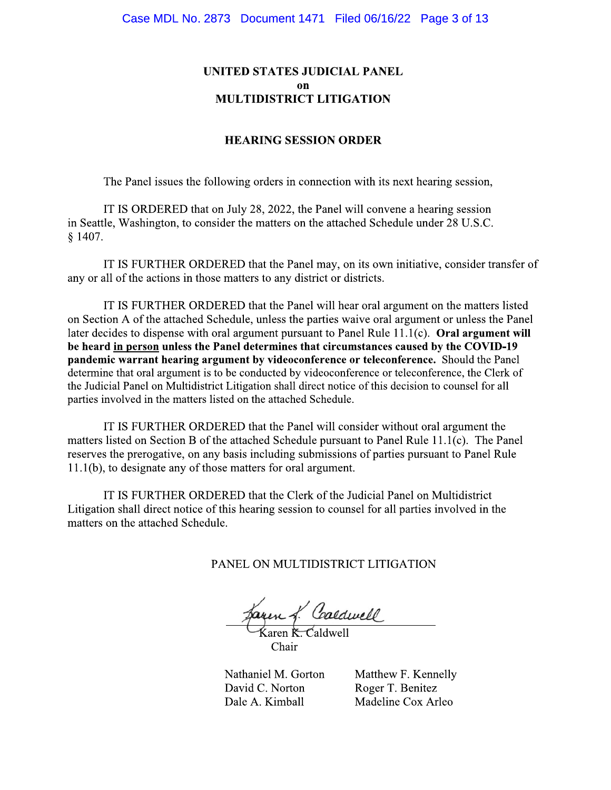## UNITED STATES JUDICIAL PANEL on **MULTIDISTRICT LITIGATION**

#### **HEARING SESSION ORDER**

The Panel issues the following orders in connection with its next hearing session,

IT IS ORDERED that on July 28, 2022, the Panel will convene a hearing session in Seattle, Washington, to consider the matters on the attached Schedule under 28 U.S.C.  $$1407.$ 

IT IS FURTHER ORDERED that the Panel may, on its own initiative, consider transfer of any or all of the actions in those matters to any district or districts.

IT IS FURTHER ORDERED that the Panel will hear oral argument on the matters listed on Section A of the attached Schedule, unless the parties waive oral argument or unless the Panel later decides to dispense with oral argument pursuant to Panel Rule  $11.1(c)$ . Oral argument will be heard in person unless the Panel determines that circumstances caused by the COVID-19 pandemic warrant hearing argument by videoconference or teleconference. Should the Panel determine that oral argument is to be conducted by videoconference or teleconference, the Clerk of the Judicial Panel on Multidistrict Litigation shall direct notice of this decision to counsel for all parties involved in the matters listed on the attached Schedule.

IT IS FURTHER ORDERED that the Panel will consider without oral argument the matters listed on Section B of the attached Schedule pursuant to Panel Rule 11.1(c). The Panel reserves the prerogative, on any basis including submissions of parties pursuant to Panel Rule 11.1(b), to designate any of those matters for oral argument.

IT IS FURTHER ORDERED that the Clerk of the Judicial Panel on Multidistrict Litigation shall direct notice of this hearing session to counsel for all parties involved in the matters on the attached Schedule.

PANEL ON MULTIDISTRICT LITIGATION

aren *L. Coaldwell*<br>Karen K. Caldwell

Chair

Nathaniel M. Gorton David C. Norton Dale A. Kimball

Matthew F. Kennelly Roger T. Benitez Madeline Cox Arleo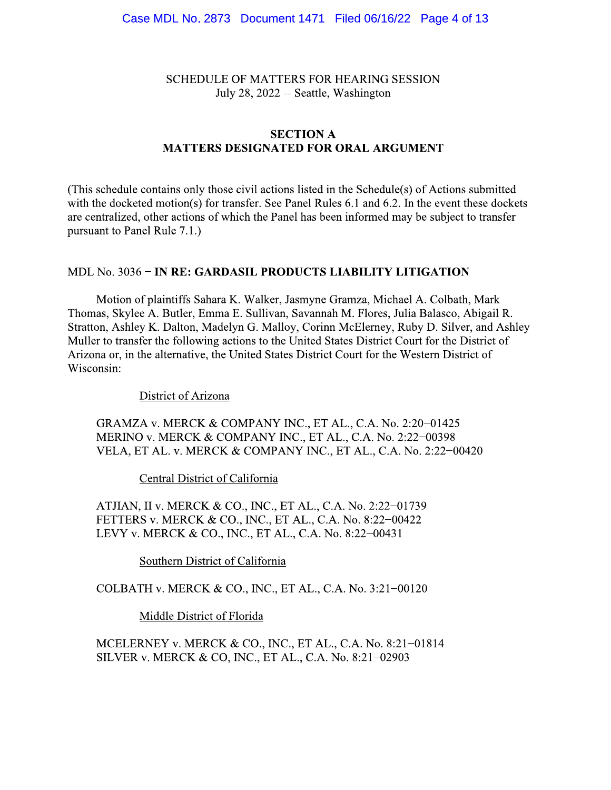**SCHEDULE OF MATTERS FOR HEARING SESSION** July 28, 2022 -- Seattle, Washington

# **SECTION A MATTERS DESIGNATED FOR ORAL ARGUMENT**

(This schedule contains only those civil actions listed in the Schedule(s) of Actions submitted with the docketed motion(s) for transfer. See Panel Rules 6.1 and 6.2. In the event these dockets are centralized, other actions of which the Panel has been informed may be subject to transfer pursuant to Panel Rule 7.1.)

#### MDL No. 3036 – IN RE: GARDASIL PRODUCTS LIABILITY LITIGATION

Motion of plaintiffs Sahara K. Walker, Jasmyne Gramza, Michael A. Colbath, Mark Thomas, Skylee A. Butler, Emma E. Sullivan, Savannah M. Flores, Julia Balasco, Abigail R. Stratton, Ashley K. Dalton, Madelyn G. Malloy, Corinn McElerney, Ruby D. Silver, and Ashley Muller to transfer the following actions to the United States District Court for the District of Arizona or, in the alternative, the United States District Court for the Western District of Wisconsin:

#### District of Arizona

GRAMZA v. MERCK & COMPANY INC., ET AL., C.A. No. 2:20-01425 MERINO v. MERCK & COMPANY INC., ET AL., C.A. No. 2:22-00398 VELA, ET AL. v. MERCK & COMPANY INC., ET AL., C.A. No. 2:22-00420

Central District of California

ATJIAN, II v. MERCK & CO., INC., ET AL., C.A. No. 2:22-01739 FETTERS v. MERCK & CO., INC., ET AL., C.A. No. 8:22-00422 LEVY v. MERCK & CO., INC., ET AL., C.A. No. 8:22-00431

Southern District of California

COLBATH v. MERCK & CO., INC., ET AL., C.A. No. 3:21-00120

Middle District of Florida

MCELERNEY v. MERCK & CO., INC., ET AL., C.A. No. 8:21-01814 SILVER v. MERCK & CO, INC., ET AL., C.A. No. 8:21-02903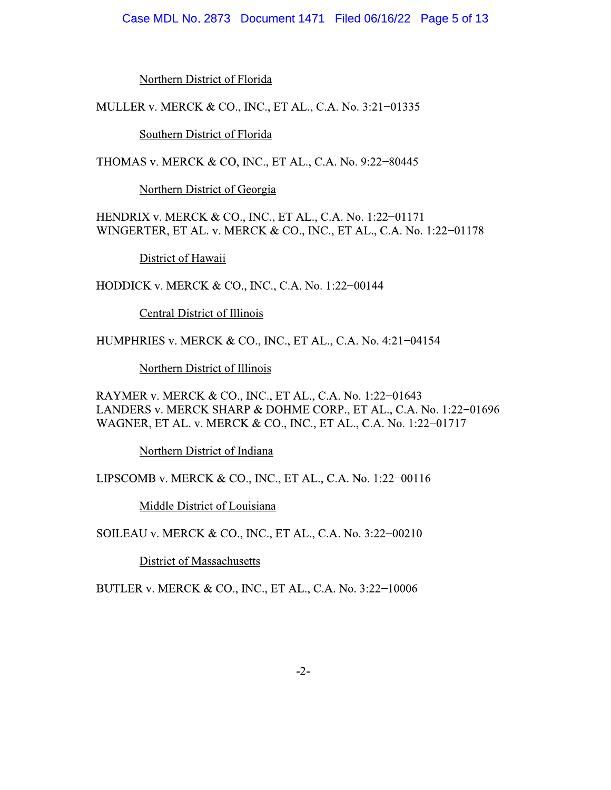#### Case MDL No. 2873 Document 1471 Filed 06/16/22 Page 5 of 13

Northern District of Florida

MULLER v. MERCK & CO., INC., ET AL., C.A. No. 3:21-01335

Southern District of Florida

THOMAS v. MERCK & CO, INC., ET AL., C.A. No. 9:22-80445

Northern District of Georgia

HENDRIX v. MERCK & CO., INC., ET AL., C.A. No. 1:22-01171 WINGERTER, ET AL. v. MERCK & CO., INC., ET AL., C.A. No. 1:22-01178

District of Hawaii

HODDICK v. MERCK & CO., INC., C.A. No. 1:22-00144

**Central District of Illinois** 

HUMPHRIES v. MERCK & CO., INC., ET AL., C.A. No. 4:21-04154

Northern District of Illinois

RAYMER v. MERCK & CO., INC., ET AL., C.A. No. 1:22-01643 LANDERS v. MERCK SHARP & DOHME CORP., ET AL., C.A. No. 1:22-01696 WAGNER, ET AL. v. MERCK & CO., INC., ET AL., C.A. No. 1:22-01717

Northern District of Indiana

LIPSCOMB v. MERCK & CO., INC., ET AL., C.A. No. 1:22-00116

Middle District of Louisiana

SOILEAU v. MERCK & CO., INC., ET AL., C.A. No. 3:22-00210

**District of Massachusetts** 

BUTLER v. MERCK & CO., INC., ET AL., C.A. No. 3:22-10006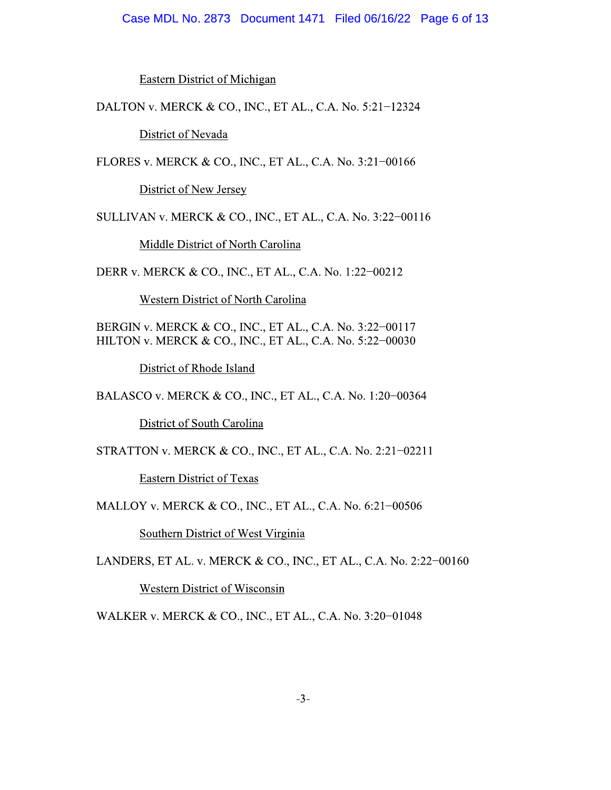#### Case MDL No. 2873 Document 1471 Filed 06/16/22 Page 6 of 13

**Eastern District of Michigan** 

DALTON v. MERCK & CO., INC., ET AL., C.A. No. 5:21-12324

District of Nevada

FLORES v. MERCK & CO., INC., ET AL., C.A. No. 3:21-00166

District of New Jersey

SULLIVAN v. MERCK & CO., INC., ET AL., C.A. No. 3:22-00116

Middle District of North Carolina

DERR v. MERCK & CO., INC., ET AL., C.A. No. 1:22-00212

Western District of North Carolina

BERGIN v. MERCK & CO., INC., ET AL., C.A. No. 3:22-00117 HILTON v. MERCK & CO., INC., ET AL., C.A. No. 5:22-00030

District of Rhode Island

BALASCO v. MERCK & CO., INC., ET AL., C.A. No. 1:20-00364

District of South Carolina

STRATTON v. MERCK & CO., INC., ET AL., C.A. No. 2:21-02211

**Eastern District of Texas** 

MALLOY v. MERCK & CO., INC., ET AL., C.A. No. 6:21-00506

Southern District of West Virginia

LANDERS, ET AL. v. MERCK & CO., INC., ET AL., C.A. No. 2:22-00160

Western District of Wisconsin

WALKER v. MERCK & CO., INC., ET AL., C.A. No. 3:20-01048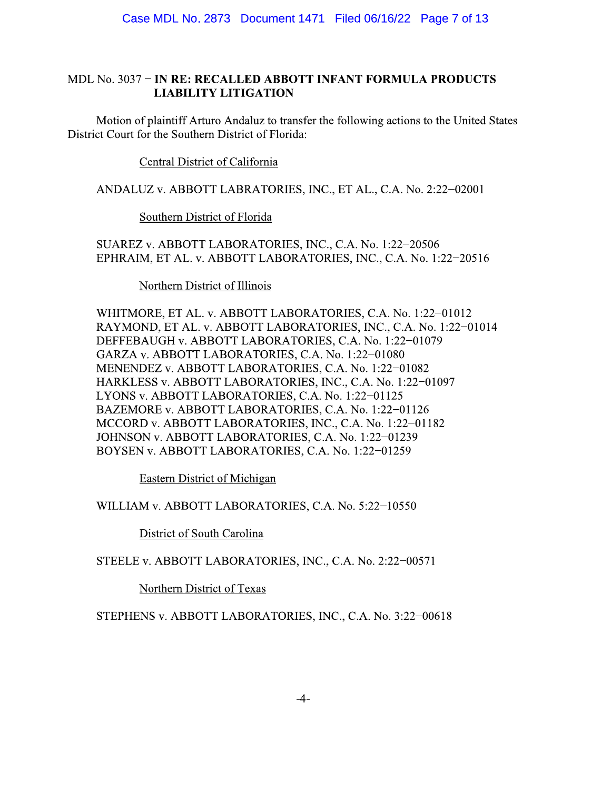## MDL No. 3037 – IN RE: RECALLED ABBOTT INFANT FORMULA PRODUCTS **LIABILITY LITIGATION**

Motion of plaintiff Arturo Andaluz to transfer the following actions to the United States District Court for the Southern District of Florida:

## Central District of California

ANDALUZ v. ABBOTT LABRATORIES, INC., ET AL., C.A. No. 2:22-02001

## Southern District of Florida

SUAREZ v. ABBOTT LABORATORIES, INC., C.A. No. 1:22-20506 EPHRAIM, ET AL. v. ABBOTT LABORATORIES, INC., C.A. No. 1:22-20516

## Northern District of Illinois

WHITMORE, ET AL. v. ABBOTT LABORATORIES, C.A. No. 1:22-01012 RAYMOND, ET AL. v. ABBOTT LABORATORIES, INC., C.A. No. 1:22-01014 DEFFEBAUGH v. ABBOTT LABORATORIES, C.A. No. 1:22-01079 GARZA v. ABBOTT LABORATORIES, C.A. No. 1:22-01080 MENENDEZ v. ABBOTT LABORATORIES, C.A. No. 1:22-01082 HARKLESS v. ABBOTT LABORATORIES, INC., C.A. No. 1:22-01097 LYONS v. ABBOTT LABORATORIES, C.A. No. 1:22-01125 BAZEMORE v. ABBOTT LABORATORIES, C.A. No. 1:22-01126 MCCORD v. ABBOTT LABORATORIES, INC., C.A. No. 1:22-01182 JOHNSON v. ABBOTT LABORATORIES, C.A. No. 1:22-01239 BOYSEN v. ABBOTT LABORATORIES, C.A. No. 1:22-01259

Eastern District of Michigan

WILLIAM v. ABBOTT LABORATORIES, C.A. No. 5:22-10550

District of South Carolina

STEELE v. ABBOTT LABORATORIES, INC., C.A. No. 2:22-00571

Northern District of Texas

STEPHENS v. ABBOTT LABORATORIES, INC., C.A. No. 3:22-00618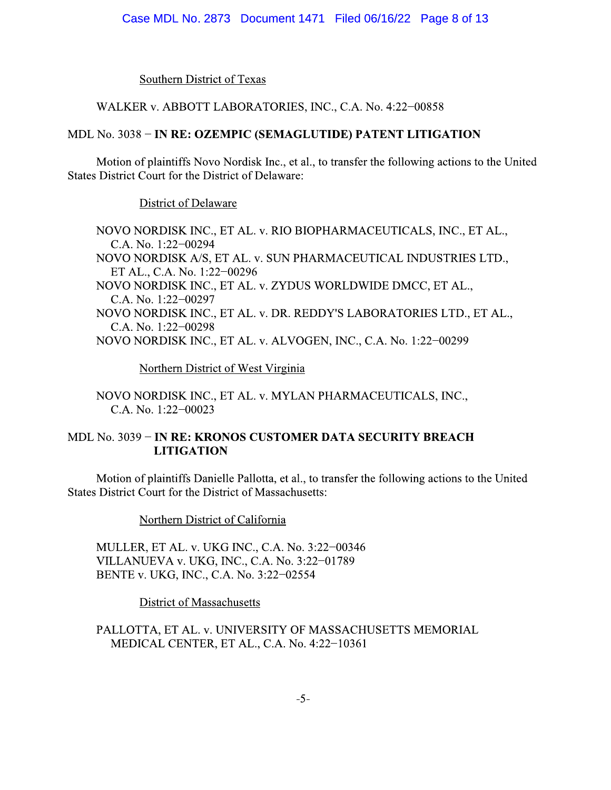**Southern District of Texas** 

## WALKER v. ABBOTT LABORATORIES, INC., C.A. No. 4:22-00858

## MDL No. 3038 - IN RE: OZEMPIC (SEMAGLUTIDE) PATENT LITIGATION

Motion of plaintiffs Novo Nordisk Inc., et al., to transfer the following actions to the United States District Court for the District of Delaware:

District of Delaware

NOVO NORDISK INC., ET AL. v. RIO BIOPHARMACEUTICALS, INC., ET AL., C.A. No. 1:22-00294 NOVO NORDISK A/S, ET AL. v. SUN PHARMACEUTICAL INDUSTRIES LTD., ET AL., C.A. No. 1:22-00296 NOVO NORDISK INC., ET AL. v. ZYDUS WORLDWIDE DMCC, ET AL., C.A. No. 1:22-00297 NOVO NORDISK INC., ET AL. v. DR. REDDY'S LABORATORIES LTD., ET AL., C.A. No. 1:22-00298 NOVO NORDISK INC., ET AL. v. ALVOGEN, INC., C.A. No. 1:22-00299

Northern District of West Virginia

NOVO NORDISK INC., ET AL. v. MYLAN PHARMACEUTICALS, INC., C.A. No. 1:22-00023

# MDL No. 3039 - IN RE: KRONOS CUSTOMER DATA SECURITY BREACH **LITIGATION**

Motion of plaintiffs Danielle Pallotta, et al., to transfer the following actions to the United **States District Court for the District of Massachusetts:** 

Northern District of California

MULLER, ET AL. v. UKG INC., C.A. No. 3:22-00346 VILLANUEVA v. UKG, INC., C.A. No. 3:22-01789 BENTE v. UKG, INC., C.A. No. 3:22-02554

**District of Massachusetts** 

PALLOTTA, ET AL. v. UNIVERSITY OF MASSACHUSETTS MEMORIAL MEDICAL CENTER, ET AL., C.A. No. 4:22-10361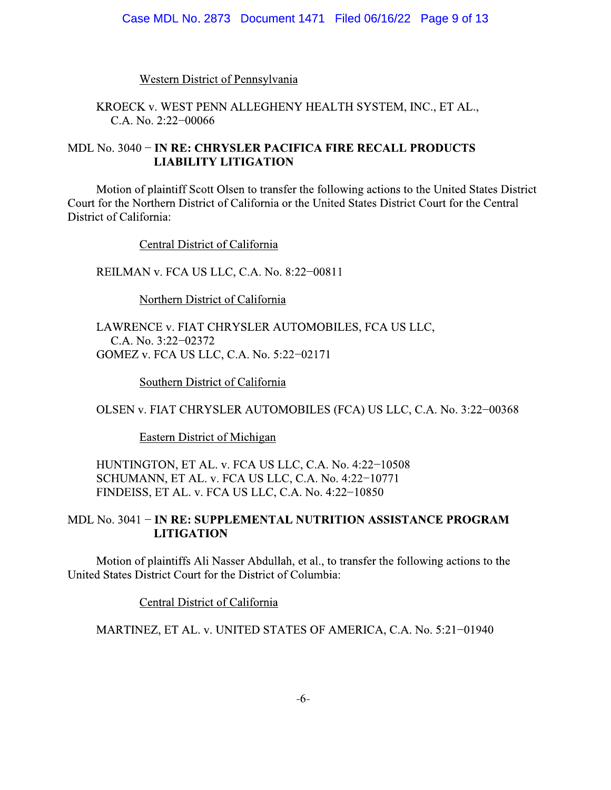**Western District of Pennsylvania** 

KROECK v. WEST PENN ALLEGHENY HEALTH SYSTEM, INC., ET AL., C.A. No. 2:22-00066

## MDL No. 3040 - IN RE: CHRYSLER PACIFICA FIRE RECALL PRODUCTS **LIABILITY LITIGATION**

Motion of plaintiff Scott Olsen to transfer the following actions to the United States District Court for the Northern District of California or the United States District Court for the Central District of California:

Central District of California

REILMAN v. FCA US LLC, C.A. No. 8:22-00811

Northern District of California

LAWRENCE v. FIAT CHRYSLER AUTOMOBILES, FCA US LLC, C.A. No. 3:22-02372 GOMEZ v. FCA US LLC, C.A. No. 5:22-02171

Southern District of California

OLSEN v. FIAT CHRYSLER AUTOMOBILES (FCA) US LLC, C.A. No. 3:22-00368

**Eastern District of Michigan** 

HUNTINGTON, ET AL. v. FCA US LLC, C.A. No. 4:22-10508 SCHUMANN, ET AL. v. FCA US LLC, C.A. No. 4:22-10771 FINDEISS, ET AL. v. FCA US LLC, C.A. No. 4:22-10850

#### MDL No. 3041 - IN RE: SUPPLEMENTAL NUTRITION ASSISTANCE PROGRAM **LITIGATION**

Motion of plaintiffs Ali Nasser Abdullah, et al., to transfer the following actions to the United States District Court for the District of Columbia:

**Central District of California** 

MARTINEZ, ET AL. v. UNITED STATES OF AMERICA, C.A. No. 5:21-01940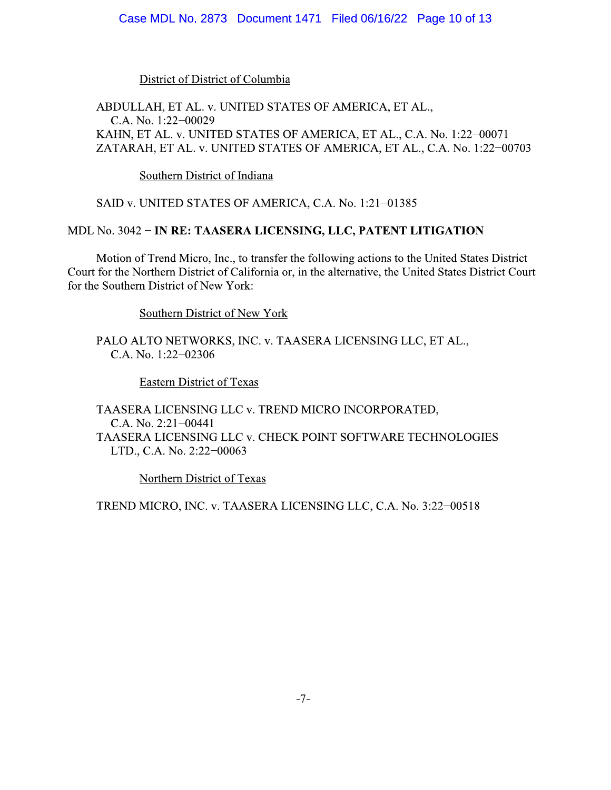#### Case MDL No. 2873 Document 1471 Filed 06/16/22 Page 10 of 13

#### District of District of Columbia

## ABDULLAH, ET AL. v. UNITED STATES OF AMERICA, ET AL., C.A. No. 1:22-00029 KAHN, ET AL. v. UNITED STATES OF AMERICA, ET AL., C.A. No. 1:22-00071 ZATARAH, ET AL. v. UNITED STATES OF AMERICA, ET AL., C.A. No. 1:22-00703

Southern District of Indiana

SAID v. UNITED STATES OF AMERICA, C.A. No. 1:21-01385

#### MDL No. 3042 - IN RE: TAASERA LICENSING, LLC, PATENT LITIGATION

Motion of Trend Micro, Inc., to transfer the following actions to the United States District Court for the Northern District of California or, in the alternative, the United States District Court for the Southern District of New York:

Southern District of New York

PALO ALTO NETWORKS, INC. v. TAASERA LICENSING LLC, ET AL., C.A. No. 1:22-02306

**Eastern District of Texas** 

TAASERA LICENSING LLC v. TREND MICRO INCORPORATED, C.A. No. 2:21-00441 TAASERA LICENSING LLC v. CHECK POINT SOFTWARE TECHNOLOGIES LTD., C.A. No. 2:22-00063

Northern District of Texas

TREND MICRO, INC. v. TAASERA LICENSING LLC, C.A. No. 3:22-00518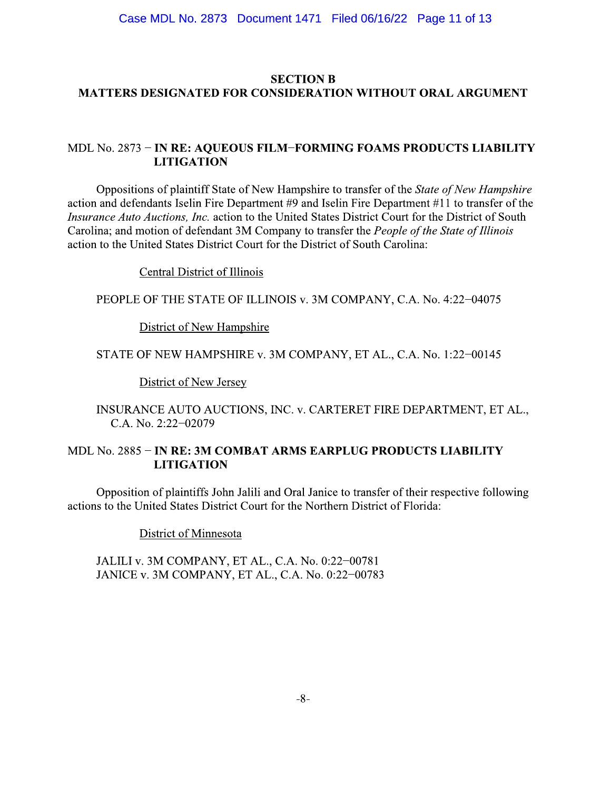## **SECTION B MATTERS DESIGNATED FOR CONSIDERATION WITHOUT ORAL ARGUMENT**

## MDL No. 2873 - IN RE: AQUEOUS FILM-FORMING FOAMS PRODUCTS LIABILITY **LITIGATION**

Oppositions of plaintiff State of New Hampshire to transfer of the *State of New Hampshire* action and defendants Iselin Fire Department #9 and Iselin Fire Department #11 to transfer of the Insurance Auto Auctions, Inc. action to the United States District Court for the District of South Carolina; and motion of defendant 3M Company to transfer the People of the State of Illinois action to the United States District Court for the District of South Carolina:

**Central District of Illinois** 

PEOPLE OF THE STATE OF ILLINOIS v. 3M COMPANY, C.A. No. 4:22-04075

District of New Hampshire

STATE OF NEW HAMPSHIRE v. 3M COMPANY, ET AL., C.A. No. 1:22-00145

District of New Jersey

INSURANCE AUTO AUCTIONS, INC. v. CARTERET FIRE DEPARTMENT, ET AL., C.A. No. 2:22-02079

#### MDL No. 2885 - IN RE: 3M COMBAT ARMS EARPLUG PRODUCTS LIABILITY **LITIGATION**

Opposition of plaintiffs John Jalili and Oral Janice to transfer of their respective following actions to the United States District Court for the Northern District of Florida:

District of Minnesota

JALILI v. 3M COMPANY, ET AL., C.A. No. 0:22-00781 JANICE v. 3M COMPANY, ET AL., C.A. No. 0:22-00783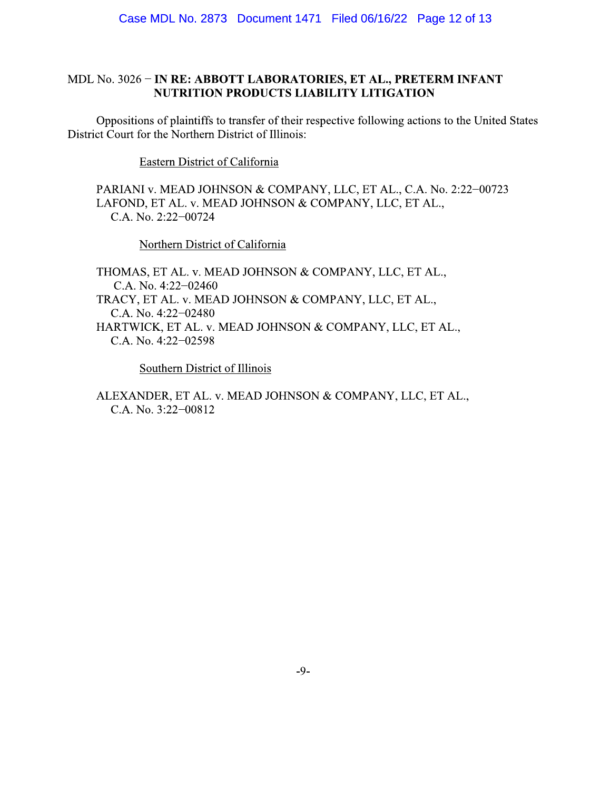## MDL No. 3026 - IN RE: ABBOTT LABORATORIES, ET AL., PRETERM INFANT NUTRITION PRODUCTS LIABILITY LITIGATION

Oppositions of plaintiffs to transfer of their respective following actions to the United States District Court for the Northern District of Illinois:

Eastern District of California

PARIANI v. MEAD JOHNSON & COMPANY, LLC, ET AL., C.A. No. 2:22-00723 LAFOND, ET AL. v. MEAD JOHNSON & COMPANY, LLC, ET AL., C.A. No. 2:22-00724

Northern District of California

THOMAS, ET AL. v. MEAD JOHNSON & COMPANY, LLC, ET AL., C.A. No. 4:22-02460 TRACY, ET AL. v. MEAD JOHNSON & COMPANY, LLC, ET AL., C.A. No. 4:22-02480 HARTWICK, ET AL. v. MEAD JOHNSON & COMPANY, LLC, ET AL., C.A. No. 4:22-02598

Southern District of Illinois

ALEXANDER, ET AL. v. MEAD JOHNSON & COMPANY, LLC, ET AL., C.A. No. 3:22-00812